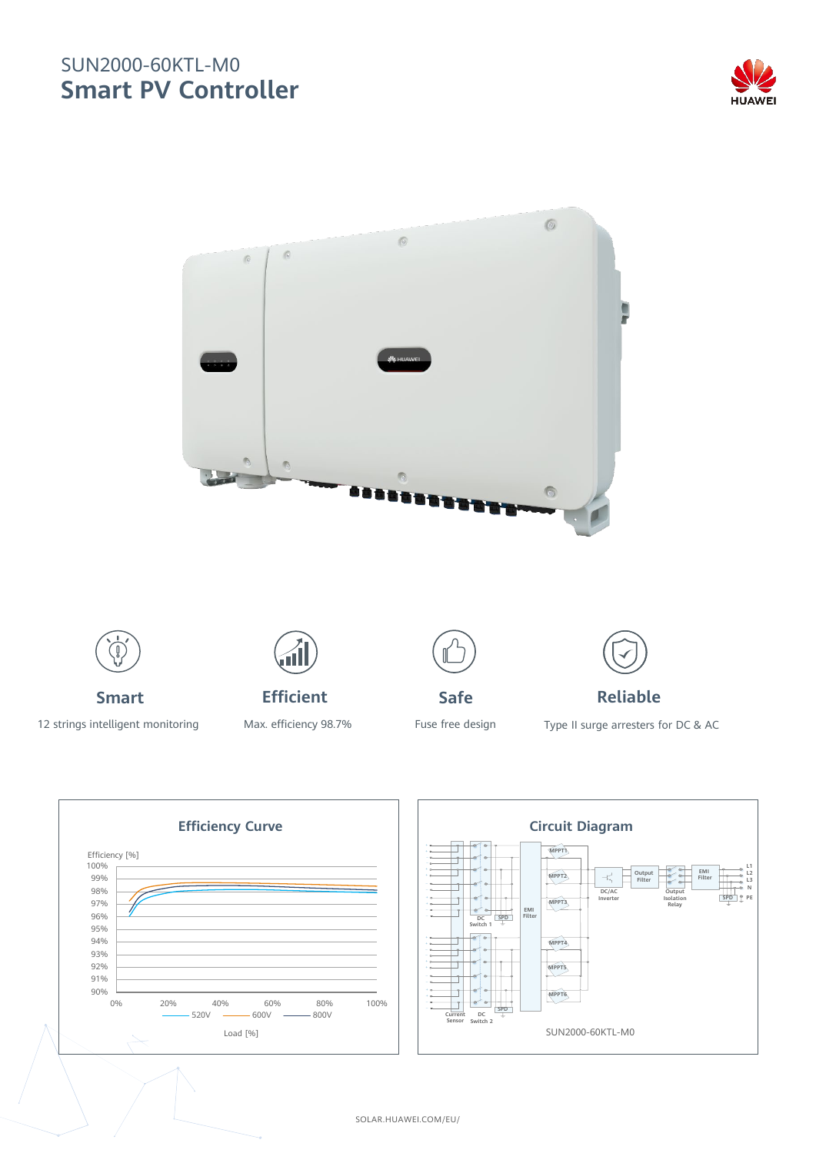## SUN2000-60KTL-M0 **Smart PV Controller**